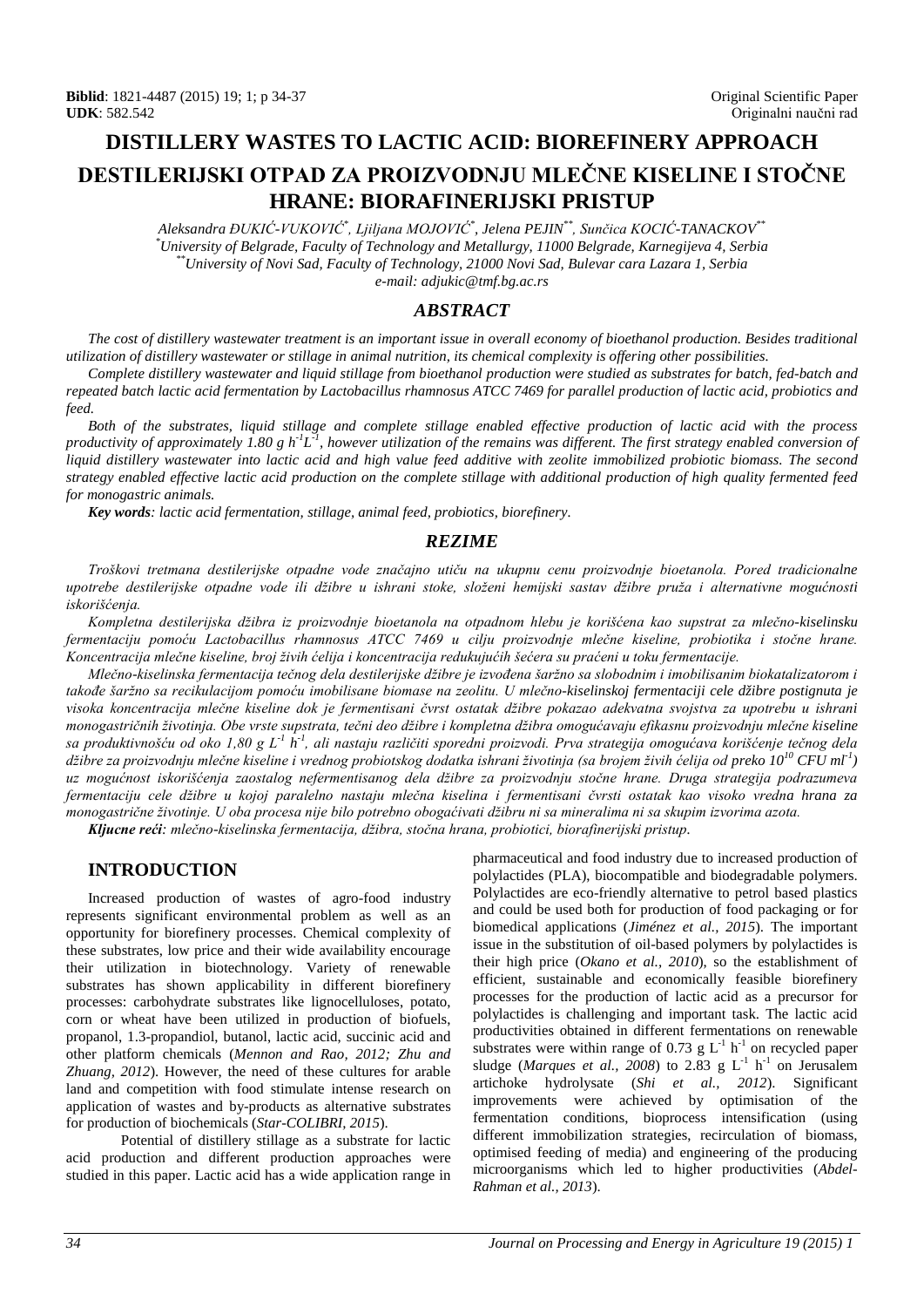# **DISTILLERY WASTES TO LACTIC ACID: BIOREFINERY APPROACH DESTILERIJSKI OTPAD ZA PROIZVODNJU MLEČNE KISELINE I STOČNE HRANE: BIORAFINERIJSKI PRISTUP**

*Aleksandra ĐUKIĆ-VUKOVIĆ\* , Ljiljana MOJOVIĆ\* , Jelena PEJIN\*\*, Sunčica KOCIĆ-TANACKOV\*\* \*University of Belgrade, Faculty of Technology and Metallurgy, 11000 Belgrade, Karnegijeva 4, Serbia University of Belgrade, Faculty of Technology and Metallurgy, 11000 Belgrade, Karnegijeva 4, Serbia \*\*University of Novi Sad, Faculty of Technology, 21000 Novi Sad, Bulevar cara Lazara 1, Serbia e-mail: adjukic@tmf.bg.ac.rs*

## *ABSTRACT*

*The cost of distillery wastewater treatment is an important issue in overall economy of bioethanol production. Besides traditional utilization of distillery wastewater or stillage in animal nutrition, its chemical complexity is offering other possibilities.*

*Complete distillery wastewater and liquid stillage from bioethanol production were studied as substrates for batch, fed-batch and repeated batch lactic acid fermentation by Lactobacillus rhamnosus ATCC 7469 for parallel production of lactic acid, probiotics and feed.*

*Both of the substrates, liquid stillage and complete stillage enabled effective production of lactic acid with the process*  productivity of approximately 1.80 g h<sup>-1</sup>L<sup>-1</sup>, however utilization of the remains was different. The first strategy enabled conversion of *liquid distillery wastewater into lactic acid and high value feed additive with zeolite immobilized probiotic biomass. The second strategy enabled effective lactic acid production on the complete stillage with additional production of high quality fermented feed for monogastric animals.*

*Key words: lactic acid fermentation, stillage, animal feed, probiotics, biorefinery.*

#### *REZIME*

*Troškovi tretmana destilerijske otpadne vode značajno utiču na ukupnu cenu proizvodnje bioetanola. Pored tradicionalne upotrebe destilerijske otpadne vode ili džibre u ishrani stoke, složeni hemijski sastav džibre pruža i alternativne mogućnosti iskorišćenja.*

*Kompletna destilerijska džibra iz proizvodnje bioetanola na otpadnom hlebu je korišćena kao supstrat za mlečno-kiselinsku fermentaciju pomoću Lactobacillus rhamnosus ATCC 7469 u cilju proizvodnje mlečne kiseline, probiotika i stočne hrane. Koncentracija mlečne kiseline, broj živih ćelija i koncentracija redukujućih šećera su praćeni u toku fermentacije.*

*Mlečno-kiselinska fermentacija tečnog dela destilerijske džibre je izvođena šaržno sa slobodnim i imobilisanim biokatalizatorom i takođe šaržno sa recikulacijom pomoću imobilisane biomase na zeolitu. U mlečno-kiselinskoj fermentaciji cele džibre postignuta je visoka koncentracija mlečne kiseline dok je fermentisani čvrst ostatak džibre pokazao adekvatna svojstva za upotrebu u ishrani monogastričnih životinja. Obe vrste supstrata, tečni deo džibre i kompletna džibra omogućavaju efikasnu proizvodnju mlečne kiseline sa produktivnošću od oko 1,80 g L-1 h-1 , ali nastaju različiti sporedni proizvodi. Prva strategija omogućava korišćenje tečnog dela džibre za proizvodnju mlečne kiseline i vrednog probiotskog dodatka ishrani životinja (sa brojem živih ćelija od preko 10<sup>10</sup> CFU ml-1 ) uz mogućnost iskorišćenja zaostalog nefermentisanog dela džibre za proizvodnju stočne hrane. Druga strategija podrazumeva fermentaciju cele džibre u kojoj paralelno nastaju mlečna kiselina i fermentisani čvrsti ostatak kao visoko vredna hrana za monogastrične životinje. U oba procesa nije bilo potrebno obogaćivati džibru ni sa mineralima ni sa skupim izvorima azota.*

*Kljucne reći: mlečno-kiselinska fermentacija, džibra, stočna hrana, probiotici, biorafinerijski pristup.*

## **INTRODUCTION**

Increased production of wastes of agro-food industry represents significant environmental problem as well as an opportunity for biorefinery processes. Chemical complexity of these substrates, low price and their wide availability encourage their utilization in biotechnology. Variety of renewable substrates has shown applicability in different biorefinery processes: carbohydrate substrates like lignocelluloses, potato, corn or wheat have been utilized in production of biofuels, propanol, 1.3-propandiol, butanol, lactic acid, succinic acid and other platform chemicals (*Mennon and Rao, 2012; Zhu and Zhuang, 2012*). However, the need of these cultures for arable land and competition with food stimulate intense research on application of wastes and by-products as alternative substrates for production of biochemicals (*Star-COLIBRI, 2015*).

Potential of distillery stillage as a substrate for lactic acid production and different production approaches were studied in this paper. Lactic acid has a wide application range in pharmaceutical and food industry due to increased production of polylactides (PLA), biocompatible and biodegradable polymers. Polylactides are eco-friendly alternative to petrol based plastics and could be used both for production of food packaging or for biomedical applications (*Jiménez et al., 2015*). The important issue in the substitution of oil-based polymers by polylactides is their high price (*Okano et al., 2010*), so the establishment of efficient, sustainable and economically feasible biorefinery processes for the production of lactic acid as a precursor for polylactides is challenging and important task. The lactic acid productivities obtained in different fermentations on renewable substrates were within range of 0.73 g  $L^{-1}$  h<sup>-1</sup> on recycled paper sludge (*Marques et al.*, 2008) to 2.83 g  $L^{-1}$  h<sup>-1</sup> on Jerusalem artichoke hydrolysate (*Shi et al., 2012*). Significant improvements were achieved by optimisation of the fermentation conditions, bioprocess intensification (using different immobilization strategies, recirculation of biomass, optimised feeding of media) and engineering of the producing microorganisms which led to higher productivities (*Abdel-Rahman et al., 2013*).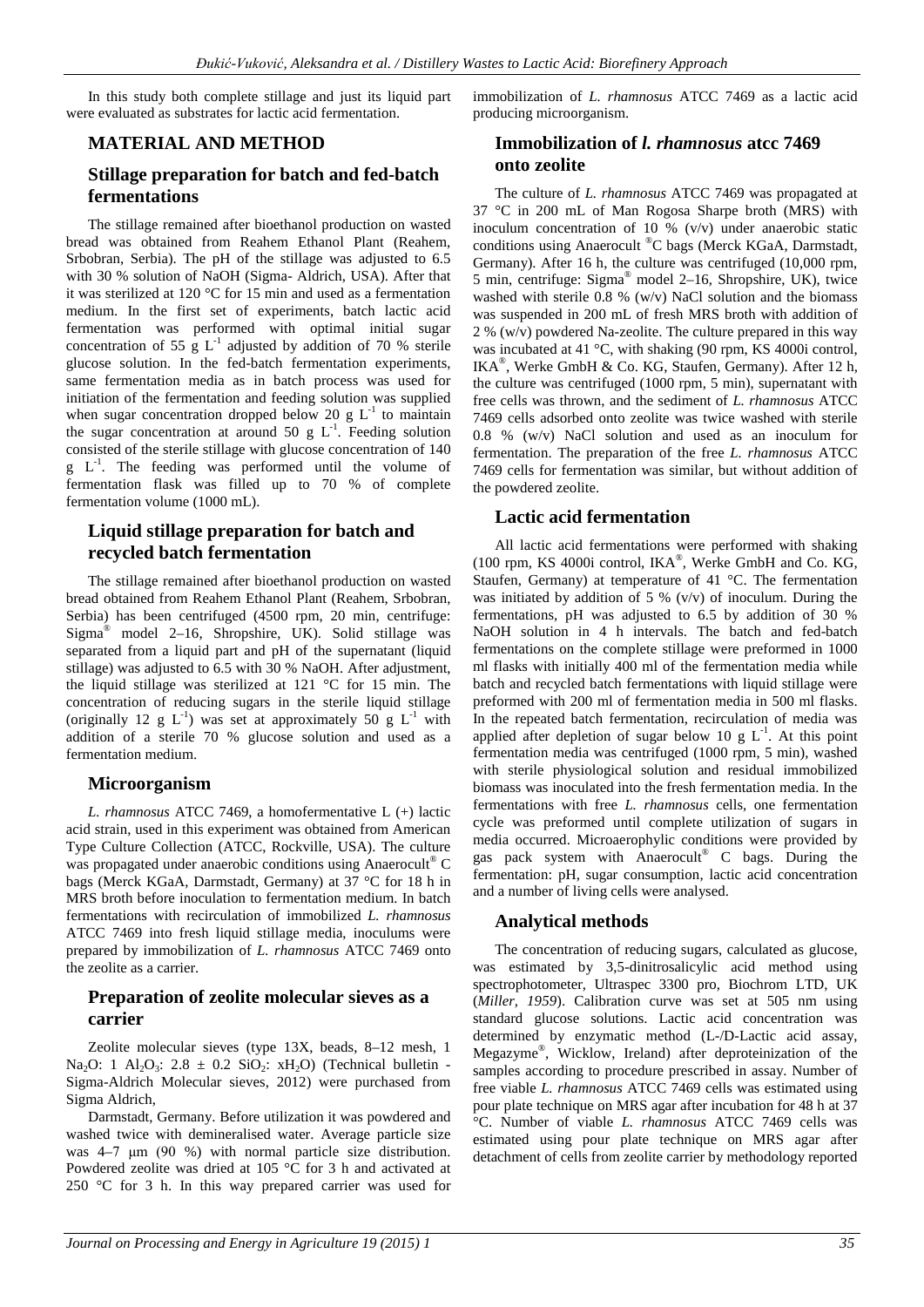In this study both complete stillage and just its liquid part were evaluated as substrates for lactic acid fermentation.

#### **MATERIAL AND METHOD**

# **Stillage preparation for batch and fed-batch fermentations**

The stillage remained after bioethanol production on wasted bread was obtained from Reahem Ethanol Plant (Reahem, Srbobran, Serbia). The pH of the stillage was adjusted to 6.5 with 30 % solution of NaOH (Sigma- Aldrich, USA). After that it was sterilized at 120 °C for 15 min and used as a fermentation medium. In the first set of experiments, batch lactic acid fermentation was performed with optimal initial sugar concentration of 55 g  $L^{-1}$  adjusted by addition of 70 % sterile glucose solution. In the fed-batch fermentation experiments, same fermentation media as in batch process was used for initiation of the fermentation and feeding solution was supplied when sugar concentration dropped below 20 g  $L^{-1}$  to maintain the sugar concentration at around 50 g  $L^{-1}$ . Feeding solution consisted of the sterile stillage with glucose concentration of 140  $g$   $L^{-1}$ . The feeding was performed until the volume of fermentation flask was filled up to 70 % of complete fermentation volume (1000 mL).

## **Liquid stillage preparation for batch and recycled batch fermentation**

The stillage remained after bioethanol production on wasted bread obtained from Reahem Ethanol Plant (Reahem, Srbobran, Serbia) has been centrifuged (4500 rpm, 20 min, centrifuge: Sigma<sup>®</sup> model 2–16, Shropshire, UK). Solid stillage was separated from a liquid part and pH of the supernatant (liquid stillage) was adjusted to 6.5 with 30 % NaOH. After adjustment, the liquid stillage was sterilized at 121 °C for 15 min. The concentration of reducing sugars in the sterile liquid stillage (originally 12 g  $L^{-1}$ ) was set at approximately 50 g  $L^{-1}$  with addition of a sterile 70 % glucose solution and used as a fermentation medium.

#### **Microorganism**

*L. rhamnosus* ATCC 7469, a homofermentative L (+) lactic acid strain, used in this experiment was obtained from American Type Culture Collection (ATCC, Rockville, USA). The culture was propagated under anaerobic conditions using Anaerocult<sup>®</sup> C bags (Merck KGaA, Darmstadt, Germany) at 37 °C for 18 h in MRS broth before inoculation to fermentation medium. In batch fermentations with recirculation of immobilized *L. rhamnosus* ATCC 7469 into fresh liquid stillage media, inoculums were prepared by immobilization of *L. rhamnosus* ATCC 7469 onto the zeolite as a carrier.

## **Preparation of zeolite molecular sieves as a carrier**

Zeolite molecular sieves (type 13X, beads, 8–12 mesh, 1 Na<sub>2</sub>O: 1 Al<sub>2</sub>O<sub>3</sub>: 2.8  $\pm$  0.2 SiO<sub>2</sub>: xH<sub>2</sub>O) (Technical bulletin -Sigma-Aldrich Molecular sieves, 2012) were purchased from Sigma Aldrich,

Darmstadt, Germany. Before utilization it was powdered and washed twice with demineralised water. Average particle size was 4–7 μm (90 %) with normal particle size distribution. Powdered zeolite was dried at 105 °C for 3 h and activated at 250 °C for 3 h. In this way prepared carrier was used for immobilization of *L. rhamnosus* ATCC 7469 as a lactic acid producing microorganism.

# **Immobilization of** *l. rhamnosus* **atcc 7469 onto zeolite**

The culture of *L. rhamnosus* ATCC 7469 was propagated at 37 °C in 200 mL of Man Rogosa Sharpe broth (MRS) with inoculum concentration of 10 %  $(v/v)$  under anaerobic static conditions using Anaerocult ®C bags (Merck KGaA, Darmstadt, Germany). After 16 h, the culture was centrifuged (10,000 rpm, 5 min, centrifuge: Sigma® model 2–16, Shropshire, UK), twice washed with sterile 0.8 % (w/v) NaCl solution and the biomass was suspended in 200 mL of fresh MRS broth with addition of 2 %  $(w/v)$  powdered Na-zeolite. The culture prepared in this way was incubated at 41 °C, with shaking (90 rpm, KS 4000i control, IKA®, Werke GmbH & Co. KG, Staufen, Germany). After 12 h, the culture was centrifuged (1000 rpm, 5 min), supernatant with free cells was thrown, and the sediment of *L. rhamnosus* ATCC 7469 cells adsorbed onto zeolite was twice washed with sterile 0.8 % (w/v) NaCl solution and used as an inoculum for fermentation. The preparation of the free *L. rhamnosus* ATCC 7469 cells for fermentation was similar, but without addition of the powdered zeolite.

## **Lactic acid fermentation**

All lactic acid fermentations were performed with shaking (100 rpm, KS 4000i control, IKA®, Werke GmbH and Co. KG, Staufen, Germany) at temperature of 41 °C. The fermentation was initiated by addition of 5 %  $(v/v)$  of inoculum. During the fermentations, pH was adjusted to 6.5 by addition of 30 % NaOH solution in 4 h intervals. The batch and fed-batch fermentations on the complete stillage were preformed in 1000 ml flasks with initially 400 ml of the fermentation media while batch and recycled batch fermentations with liquid stillage were preformed with 200 ml of fermentation media in 500 ml flasks. In the repeated batch fermentation, recirculation of media was applied after depletion of sugar below 10 g  $L^{-1}$ . At this point fermentation media was centrifuged (1000 rpm, 5 min), washed with sterile physiological solution and residual immobilized biomass was inoculated into the fresh fermentation media. In the fermentations with free *L. rhamnosus* cells, one fermentation cycle was preformed until complete utilization of sugars in media occurred. Microaerophylic conditions were provided by gas pack system with Anaerocult® C bags. During the fermentation: pH, sugar consumption, lactic acid concentration and a number of living cells were analysed.

## **Analytical methods**

The concentration of reducing sugars, calculated as glucose, was estimated by 3,5-dinitrosalicylic acid method using spectrophotometer, Ultraspec 3300 pro, Biochrom LTD, UK (*Miller, 1959*). Calibration curve was set at 505 nm using standard glucose solutions. Lactic acid concentration was determined by enzymatic method (L-/D-Lactic acid assay, Megazyme®, Wicklow, Ireland) after deproteinization of the samples according to procedure prescribed in assay. Number of free viable *L. rhamnosus* ATCC 7469 cells was estimated using pour plate technique on MRS agar after incubation for 48 h at 37 °C. Number of viable *L. rhamnosus* ATCC 7469 cells was estimated using pour plate technique on MRS agar after detachment of cells from zeolite carrier by methodology reported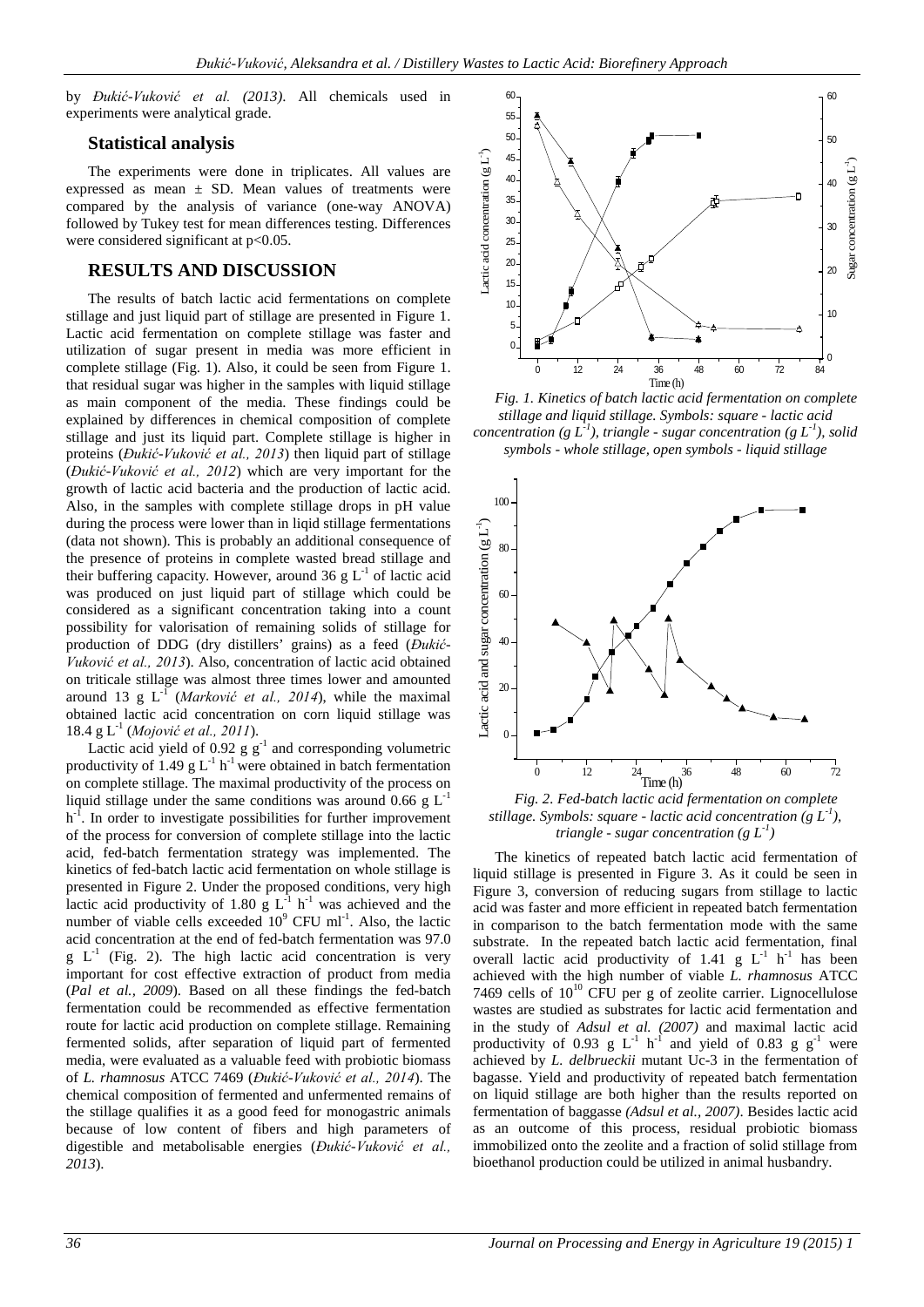by *Đukić-Vuković et al. (2013)*. All chemicals used in experiments were analytical grade.

#### **Statistical analysis**

The experiments were done in triplicates. All values are expressed as mean  $\pm$  SD. Mean values of treatments were compared by the analysis of variance (one-way ANOVA) followed by Tukey test for mean differences testing. Differences were considered significant at  $p<0.05$ .

## **RESULTS AND DISCUSSION**

The results of batch lactic acid fermentations on complete stillage and just liquid part of stillage are presented in Figure 1. Lactic acid fermentation on complete stillage was faster and utilization of sugar present in media was more efficient in complete stillage (Fig. 1). Also, it could be seen from Figure 1. that residual sugar was higher in the samples with liquid stillage as main component of the media. These findings could be explained by differences in chemical composition of complete stillage and just its liquid part. Complete stillage is higher in proteins (*Đukić-Vuković et al., 2013*) then liquid part of stillage (*Đukić-Vuković et al., 2012*) which are very important for the growth of lactic acid bacteria and the production of lactic acid. Also, in the samples with complete stillage drops in pH value during the process were lower than in liqid stillage fermentations (data not shown). This is probably an additional consequence of the presence of proteins in complete wasted bread stillage and their buffering capacity. However, around 36 g  $L^{-1}$  of lactic acid was produced on just liquid part of stillage which could be considered as a significant concentration taking into a count possibility for valorisation of remaining solids of stillage for production of DDG (dry distillers' grains) as a feed (*Đukić-Vuković et al., 2013*). Also, concentration of lactic acid obtained on triticale stillage was almost three times lower and amounted around 13 g  $L^1$  (*Marković et al., 2014*), while the maximal obtained lactic acid concentration on corn liquid stillage was 18.4 g L-1 (*Mojović et al., 2011*).

Lactic acid yield of  $0.92 \text{ g g}^{-1}$  and corresponding volumetric productivity of 1.49 g  $L^{-1}$  h<sup>-1</sup> were obtained in batch fermentation on complete stillage. The maximal productivity of the process on liquid stillage under the same conditions was around 0.66 g  $L^{-1}$  $h<sup>-1</sup>$ . In order to investigate possibilities for further improvement of the process for conversion of complete stillage into the lactic acid, fed-batch fermentation strategy was implemented. The kinetics of fed-batch lactic acid fermentation on whole stillage is presented in Figure 2. Under the proposed conditions, very high lactic acid productivity of 1.80 g  $L^{-1}$  h<sup>-1</sup> was achieved and the number of viable cells exceeded  $10^9$  CFU ml<sup>-1</sup>. Also, the lactic acid concentration at the end of fed-batch fermentation was 97.0  $g L<sup>-1</sup>$  (Fig. 2). The high lactic acid concentration is very important for cost effective extraction of product from media (*Pal et al., 2009*). Based on all these findings the fed-batch fermentation could be recommended as effective fermentation route for lactic acid production on complete stillage. Remaining fermented solids, after separation of liquid part of fermented media, were evaluated as a valuable feed with probiotic biomass of *L. rhamnosus* ATCC 7469 (*Đukić-Vuković et al., 2014*). The chemical composition of fermented and unfermented remains of the stillage qualifies it as a good feed for monogastric animals because of low content of fibers and high parameters of digestible and metabolisable energies (*Đukić-Vuković et al., 2013*).



*Fig. 1. Kinetics of batch lactic acid fermentation on complete stillage and liquid stillage. Symbols: square - lactic acid concentration* (g  $L^1$ ), triangle - sugar concentration (g  $L^1$ ), solid *symbols - whole stillage, open symbols - liquid stillage*



*Fig. 2. Fed-batch lactic acid fermentation on complete stillage. Symbols: square - lactic acid concentration*  $(g L<sup>1</sup>)$ *, triangle - sugar concentration (g L-1 )*

The kinetics of repeated batch lactic acid fermentation of liquid stillage is presented in Figure 3. As it could be seen in Figure 3, conversion of reducing sugars from stillage to lactic acid was faster and more efficient in repeated batch fermentation in comparison to the batch fermentation mode with the same substrate. In the repeated batch lactic acid fermentation, final overall lactic acid productivity of 1.41 g  $L^{-1}$  h<sup>-1</sup> has been achieved with the high number of viable *L. rhamnosus* ATCC 7469 cells of  $10^{10}$  CFU per g of zeolite carrier. Lignocellulose wastes are studied as substrates for lactic acid fermentation and in the study of *Adsul et al. (2007)* and maximal lactic acid productivity of 0.93 g  $L^{-1}$  h<sup>-1</sup> and yield of 0.83 g  $g^{-1}$  were achieved by *L. delbrueckii* mutant Uc-3 in the fermentation of bagasse. Yield and productivity of repeated batch fermentation on liquid stillage are both higher than the results reported on fermentation of baggasse *(Adsul et al., 2007)*. Besides lactic acid as an outcome of this process, residual probiotic biomass immobilized onto the zeolite and a fraction of solid stillage from bioethanol production could be utilized in animal husbandry.